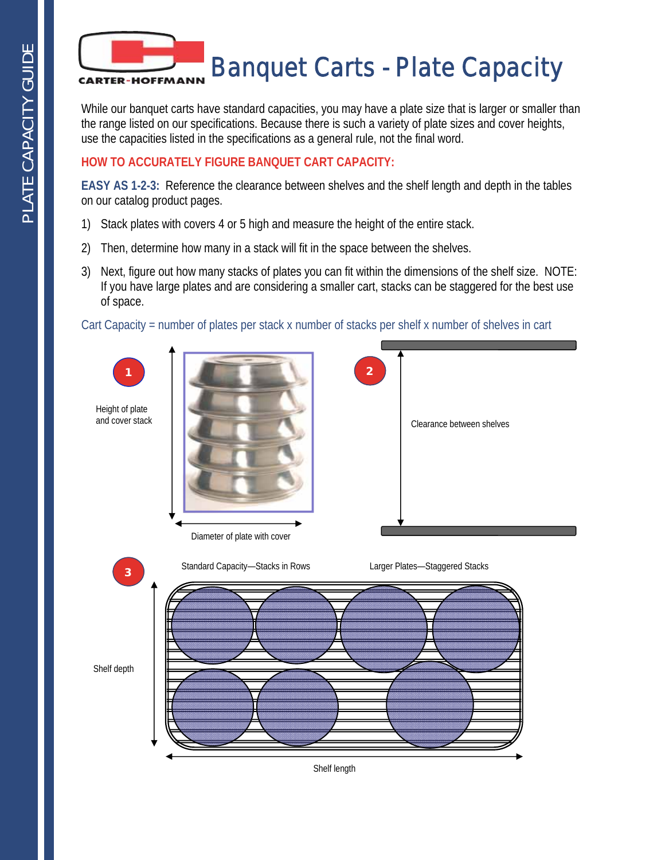

While our banquet carts have standard capacities, you may have a plate size that is larger or smaller than the range listed on our specifications. Because there is such a variety of plate sizes and cover heights, use the capacities listed in the specifications as a general rule, not the final word.

## **HOW TO ACCURATELY FIGURE BANQUET CART CAPACITY:**

**EASY AS 1-2-3:** Reference the clearance between shelves and the shelf length and depth in the tables on our catalog product pages.

- 1) Stack plates with covers 4 or 5 high and measure the height of the entire stack.
- 2) Then, determine how many in a stack will fit in the space between the shelves.
- 3) Next, figure out how many stacks of plates you can fit within the dimensions of the shelf size. NOTE: If you have large plates and are considering a smaller cart, stacks can be staggered for the best use of space.

Cart Capacity = number of plates per stack x number of stacks per shelf x number of shelves in cart